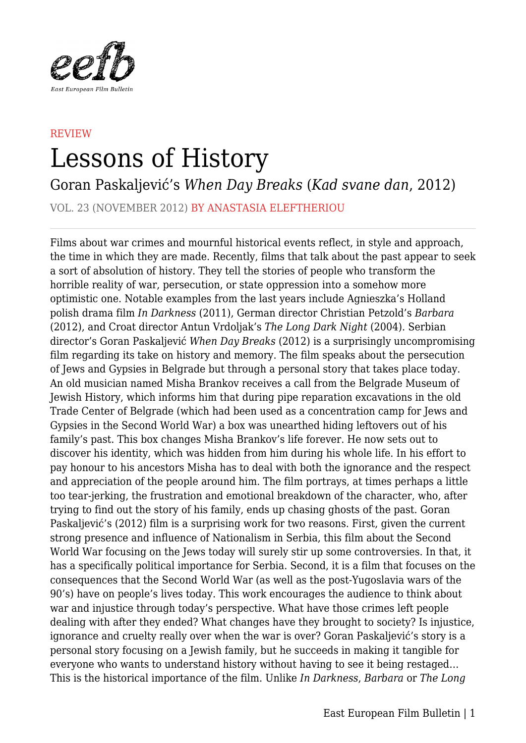

## **REVIEW** Lessons of History

Goran Paskaljević's *When Day Breaks* (*Kad svane dan*, 2012)

VOL. 23 (NOVEMBER 2012) BY ANASTASIA ELEFTHERIOU

Films about war crimes and mournful historical events reflect, in style and approach, the time in which they are made. Recently, films that talk about the past appear to seek a sort of absolution of history. They tell the stories of people who transform the horrible reality of war, persecution, or state oppression into a somehow more optimistic one. Notable examples from the last years include Agnieszka's Holland polish drama film *In Darkness* (2011), German director Christian Petzold's *Barbara* (2012), and Croat director Antun Vrdoljak's *The Long Dark Night* (2004). Serbian director's Goran Paskaljević *When Day Breaks* (2012) is a surprisingly uncompromising film regarding its take on history and memory. The film speaks about the persecution of Jews and Gypsies in Belgrade but through a personal story that takes place today. An old musician named Misha Brankov receives a call from the Belgrade Museum of Jewish History, which informs him that during pipe reparation excavations in the old Trade Center of Belgrade (which had been used as a concentration camp for Jews and Gypsies in the Second World War) a box was unearthed hiding leftovers out of his family's past. This box changes Misha Brankov's life forever. He now sets out to discover his identity, which was hidden from him during his whole life. In his effort to pay honour to his ancestors Misha has to deal with both the ignorance and the respect and appreciation of the people around him. The film portrays, at times perhaps a little too tear-jerking, the frustration and emotional breakdown of the character, who, after trying to find out the story of his family, ends up chasing ghosts of the past. Goran Paskaljević's (2012) film is a surprising work for two reasons. First, given the current strong presence and influence of Nationalism in Serbia, this film about the Second World War focusing on the Jews today will surely stir up some controversies. In that, it has a specifically political importance for Serbia. Second, it is a film that focuses on the consequences that the Second World War (as well as the post-Yugoslavia wars of the 90's) have on people's lives today. This work encourages the audience to think about war and injustice through today's perspective. What have those crimes left people dealing with after they ended? What changes have they brought to society? Is injustice, ignorance and cruelty really over when the war is over? Goran Paskaljević's story is a personal story focusing on a Jewish family, but he succeeds in making it tangible for everyone who wants to understand history without having to see it being restaged… This is the historical importance of the film. Unlike *In Darkness*, *Barbara* or *The Long*